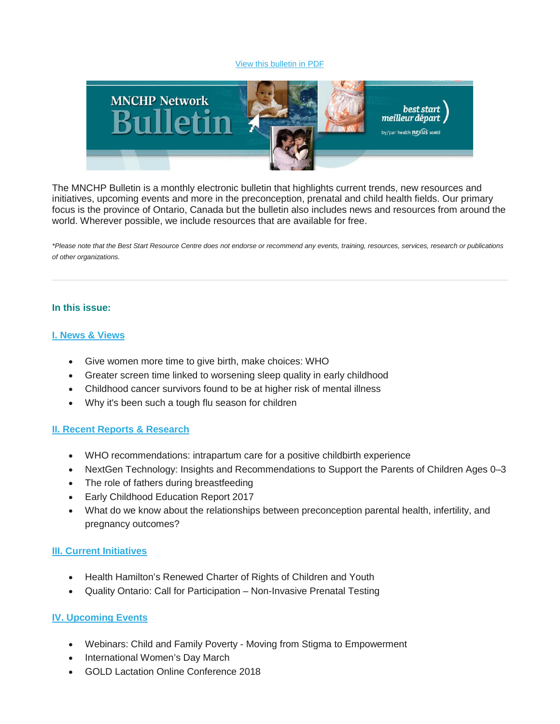#### [View this bulletin in PDF](http://en.beststart.org/services/information-exchange/MNCHP)



The MNCHP Bulletin is a monthly electronic bulletin that highlights current trends, new resources and initiatives, upcoming events and more in the preconception, prenatal and child health fields. Our primary focus is the province of Ontario, Canada but the bulletin also includes news and resources from around the world. Wherever possible, we include resources that are available for free.

*\*Please note that the Best Start Resource Centre does not endorse or recommend any events, training, resources, services, research or publications of other organizations.*

### **In this issue:**

#### **[I. News & Views](file://SV005/HN_DATA/PROJECT_DATA/BEST_START/Communications/MNCHP_HBHC_BSASC_RSMI_Networks/Bulletins/2017-18/MNCHP%20bulletin_%20February%202018.html#I.%20News%20&%20Views)**

- Give women more time to give birth, make choices: WHO
- Greater screen time linked to worsening sleep quality in early childhood
- Childhood cancer survivors found to be at higher risk of mental illness
- Why it's been such a tough flu season for children

### **[II. Recent Reports & Research](file://SV005/HN_DATA/PROJECT_DATA/BEST_START/Communications/MNCHP_HBHC_BSASC_RSMI_Networks/Bulletins/2017-18/MNCHP%20bulletin_%20February%202018.html#II.%20Recent%20Reports%20&%20Research)**

- WHO recommendations: intrapartum care for a positive childbirth experience
- NextGen Technology: Insights and Recommendations to Support the Parents of Children Ages 0–3
- The role of fathers during breastfeeding
- Early Childhood Education Report 2017
- What do we know about the relationships between preconception parental health, infertility, and pregnancy outcomes?

### **[III. Current Initiatives](file://SV005/HN_DATA/PROJECT_DATA/BEST_START/Communications/MNCHP_HBHC_BSASC_RSMI_Networks/Bulletins/2017-18/MNCHP%20bulletin_%20February%202018.html#III.%20Current%20Initiatives)**

- Health Hamilton's Renewed Charter of Rights of Children and Youth
- Quality Ontario: Call for Participation Non-Invasive Prenatal Testing

### **[IV. Upcoming Events](file://SV005/HN_DATA/PROJECT_DATA/BEST_START/Communications/MNCHP_HBHC_BSASC_RSMI_Networks/Bulletins/2017-18/MNCHP%20bulletin_%20February%202018.html#IV.%20Upcoming%20Events)**

- Webinars: Child and Family Poverty Moving from Stigma to Empowerment
- International Women's Day March
- GOLD Lactation Online Conference 2018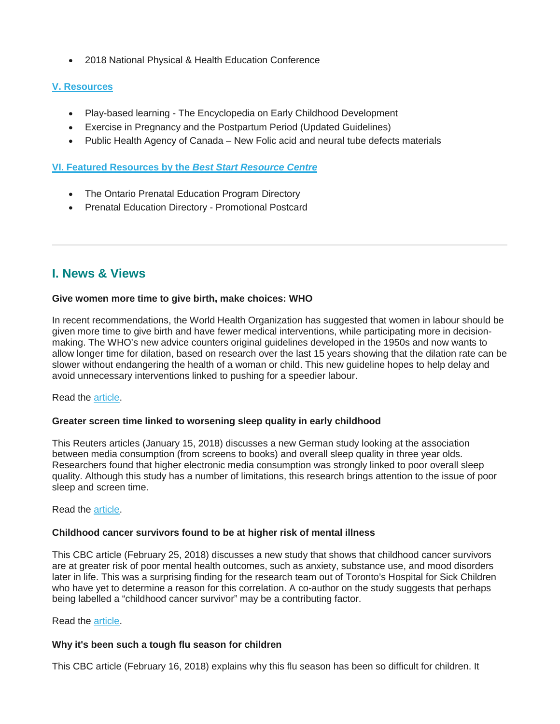• 2018 National Physical & Health Education Conference

## **[V. Resources](file://SV005/HN_DATA/PROJECT_DATA/BEST_START/Communications/MNCHP_HBHC_BSASC_RSMI_Networks/Bulletins/2017-18/MNCHP%20bulletin_%20February%202018.html#V.%20Resources)**

- Play-based learning The Encyclopedia on Early Childhood Development
- Exercise in Pregnancy and the Postpartum Period (Updated Guidelines)
- Public Health Agency of Canada New Folic acid and neural tube defects materials

**[VI. Featured Resources by the](file://SV005/HN_DATA/PROJECT_DATA/BEST_START/Communications/MNCHP_HBHC_BSASC_RSMI_Networks/Bulletins/2017-18/MNCHP%20bulletin_%20February%202018.html#VI.%20BSRC%20Resources)** *Best Start Resource Centre*

- The Ontario Prenatal Education Program Directory
- Prenatal Education Directory Promotional Postcard

# **I. News & Views**

### **Give women more time to give birth, make choices: WHO**

In recent recommendations, the World Health Organization has suggested that women in labour should be given more time to give birth and have fewer medical interventions, while participating more in decisionmaking. The WHO's new advice counters original guidelines developed in the 1950s and now wants to allow longer time for dilation, based on research over the last 15 years showing that the dilation rate can be slower without endangering the health of a woman or child. This new guideline hopes to help delay and avoid unnecessary interventions linked to pushing for a speedier labour.

Read the [article.](https://www.reuters.com/article/us-health-women-childbirth/give-women-more-time-to-give-birth-make-choices-who-idUSKCN1FZ1SO)

### **Greater screen time linked to worsening sleep quality in early childhood**

This Reuters articles (January 15, 2018) discusses a new German study looking at the association between media consumption (from screens to books) and overall sleep quality in three year olds. Researchers found that higher electronic media consumption was strongly linked to poor overall sleep quality. Although this study has a number of limitations, this research brings attention to the issue of poor sleep and screen time.

### Read the [article.](https://www.reuters.com/article/us-health-children-sleep/greater-screen-time-linked-to-worsening-sleep-quality-in-early-childhood-idUSKBN1F42JA)

### **Childhood cancer survivors found to be at higher risk of mental illness**

This CBC article (February 25, 2018) discusses a new study that shows that childhood cancer survivors are at greater risk of poor mental health outcomes, such as anxiety, substance use, and mood disorders later in life. This was a surprising finding for the research team out of Toronto's Hospital for Sick Children who have yet to determine a reason for this correlation. A co-author on the study suggests that perhaps being labelled a "childhood cancer survivor" may be a contributing factor.

### Read the [article.](http://www.cbc.ca/news/health/childhood-cancer-survivor-mental-health-1.4547620)

### **Why it's been such a tough flu season for children**

This CBC article (February 16, 2018) explains why this flu season has been so difficult for children. It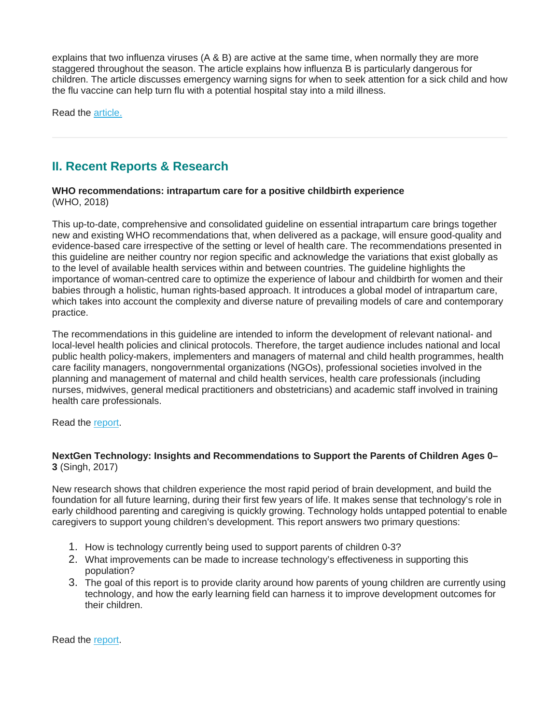explains that two influenza viruses (A & B) are active at the same time, when normally they are more staggered throughout the season. The article explains how influenza B is particularly dangerous for children. The article discusses emergency warning signs for when to seek attention for a sick child and how the flu vaccine can help turn flu with a potential hospital stay into a mild illness.

Read the [article.](http://www.cbc.ca/news/health/flu-children-1.4539205)

# **II. Recent Reports & Research**

#### **WHO recommendations: intrapartum care for a positive childbirth experience** (WHO, 2018)

This up-to-date, comprehensive and consolidated guideline on essential intrapartum care brings together new and existing WHO recommendations that, when delivered as a package, will ensure good-quality and evidence-based care irrespective of the setting or level of health care. The recommendations presented in this guideline are neither country nor region specific and acknowledge the variations that exist globally as to the level of available health services within and between countries. The guideline highlights the importance of woman-centred care to optimize the experience of labour and childbirth for women and their babies through a holistic, human rights-based approach. It introduces a global model of intrapartum care, which takes into account the complexity and diverse nature of prevailing models of care and contemporary practice.

The recommendations in this guideline are intended to inform the development of relevant national- and local-level health policies and clinical protocols. Therefore, the target audience includes national and local public health policy-makers, implementers and managers of maternal and child health programmes, health care facility managers, nongovernmental organizations (NGOs), professional societies involved in the planning and management of maternal and child health services, health care professionals (including nurses, midwives, general medical practitioners and obstetricians) and academic staff involved in training health care professionals.

Read the [report.](http://www.who.int/reproductivehealth/publications/intrapartum-care-guidelines/en/)

### **NextGen Technology: Insights and Recommendations to Support the Parents of Children Ages 0– 3** (Singh, 2017)

New research shows that children experience the most rapid period of brain development, and build the foundation for all future learning, during their first few years of life. It makes sense that technology's role in early childhood parenting and caregiving is quickly growing. Technology holds untapped potential to enable caregivers to support young children's development. This report answers two primary questions:

- 1. How is technology currently being used to support parents of children 0-3?
- 2. What improvements can be made to increase technology's effectiveness in supporting this population?
- 3. The goal of this report is to provide clarity around how parents of young children are currently using technology, and how the early learning field can harness it to improve development outcomes for their children.

Read the [report.](https://earlylearninglab.org/wp-content/uploads/2017/11/NextGen-Technology_Insights-and-Recommendations-to-Support-the-Parents-of-Children-Ages-0-3.pdf)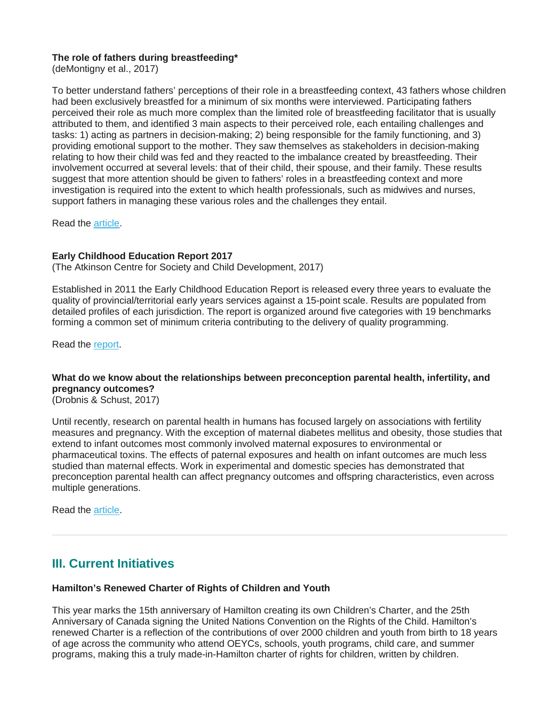### **The role of fathers during breastfeeding\***

(deMontigny et al., 2017)

To better understand fathers' perceptions of their role in a breastfeeding context, 43 fathers whose children had been exclusively breastfed for a minimum of six months were interviewed. Participating fathers perceived their role as much more complex than the limited role of breastfeeding facilitator that is usually attributed to them, and identified 3 main aspects to their perceived role, each entailing challenges and tasks: 1) acting as partners in decision-making; 2) being responsible for the family functioning, and 3) providing emotional support to the mother. They saw themselves as stakeholders in decision-making relating to how their child was fed and they reacted to the imbalance created by breastfeeding. Their involvement occurred at several levels: that of their child, their spouse, and their family. These results suggest that more attention should be given to fathers' roles in a breastfeeding context and more investigation is required into the extent to which health professionals, such as midwives and nurses, support fathers in managing these various roles and the challenges they entail.

Read the [article.](http://www.statcan.gc.ca/pub/82-003-x/2017011/article/54886-eng.pdf)

### **Early Childhood Education Report 2017**

(The Atkinson Centre for Society and Child Development, 2017)

Established in 2011 the Early Childhood Education Report is released every three years to evaluate the quality of provincial/territorial early years services against a 15-point scale. Results are populated from detailed profiles of each jurisdiction. The report is organized around five categories with 19 benchmarks forming a common set of minimum criteria contributing to the delivery of quality programming.

Read the [report.](http://ecereport.ca/en/)

## **What do we know about the relationships between preconception parental health, infertility, and pregnancy outcomes?**

(Drobnis & Schust, 2017)

Until recently, research on parental health in humans has focused largely on associations with fertility measures and pregnancy. With the exception of maternal diabetes mellitus and obesity, those studies that extend to infant outcomes most commonly involved maternal exposures to environmental or pharmaceutical toxins. The effects of paternal exposures and health on infant outcomes are much less studied than maternal effects. Work in experimental and domestic species has demonstrated that preconception parental health can affect pregnancy outcomes and offspring characteristics, even across multiple generations.

Read the [article.](http://www.fertstert.org/article/S0015-0282(17)32073-3/abstract)

# **III. Current Initiatives**

### **Hamilton's Renewed Charter of Rights of Children and Youth**

This year marks the 15th anniversary of Hamilton creating its own Children's Charter, and the 25th Anniversary of Canada signing the United Nations Convention on the Rights of the Child. Hamilton's renewed Charter is a reflection of the contributions of over 2000 children and youth from birth to 18 years of age across the community who attend OEYCs, schools, youth programs, child care, and summer programs, making this a truly made-in-Hamilton charter of rights for children, written by children.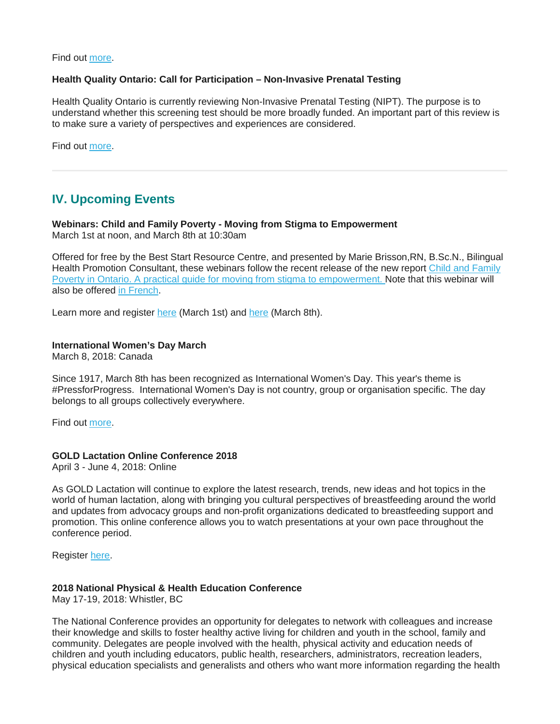Find out [more.](https://www.hamilton.ca/city-initiatives/strategies-actions/hamiltons-renewed-charter-rights-children-and-youth)

#### **Health Quality Ontario: Call for Participation – Non-Invasive Prenatal Testing**

Health Quality Ontario is currently reviewing Non-Invasive Prenatal Testing (NIPT). The purpose is to understand whether this screening test should be more broadly funded. An important part of this review is to make sure a variety of perspectives and experiences are considered.

Find out [more.](http://www.pcmch.on.ca/health-quality-ontario-call-participation-non-invasive-prenatal-testing/)

# **IV. Upcoming Events**

**Webinars: Child and Family Poverty - Moving from Stigma to Empowerment** March 1st at noon, and March 8th at 10:30am

Offered for free by the Best Start Resource Centre, and presented by Marie Brisson,RN, B.Sc.N., Bilingual Health Promotion Consultant, these webinars follow the recent release of the new report [Child and Family](https://www.beststart.org/cgi-bin/commerce.cgi?search=action&category=G00E&advanced=yes&sortkey=sku&sortorder=descending)  [Poverty in Ontario. A practical guide for moving from stigma to empowerment.](https://www.beststart.org/cgi-bin/commerce.cgi?search=action&category=G00E&advanced=yes&sortkey=sku&sortorder=descending) Note that this webinar will also be offered [in French.](http://en.beststart.org/event/webinar-Pauvret%C3%A9-chez-les-enfants-et-les-familles-26mars2018)

Learn more and register [here](http://en.beststart.org/event/webinar-child-and-family-poverty-March8-2018) (March 1st) and here (March 8th).

#### **International Women's Day March**

March 8, 2018: Canada

Since 1917, March 8th has been recognized as International Women's Day. This year's theme is #PressforProgress. International Women's Day is not country, group or organisation specific. The day belongs to all groups collectively everywhere.

Find out [more.](https://www.internationalwomensday.com/)

#### **GOLD Lactation Online Conference 2018**

April 3 - June 4, 2018: Online

As GOLD Lactation will continue to explore the latest research, trends, new ideas and hot topics in the world of human lactation, along with bringing you cultural perspectives of breastfeeding around the world and updates from advocacy groups and non-profit organizations dedicated to breastfeeding support and promotion. This online conference allows you to watch presentations at your own pace throughout the conference period.

Register [here.](https://www.goldlactation.com/)

#### **2018 National Physical & Health Education Conference**

May 17-19, 2018: Whistler, BC

The National Conference provides an opportunity for delegates to network with colleagues and increase their knowledge and skills to foster healthy active living for children and youth in the school, family and community. Delegates are people involved with the health, physical activity and education needs of children and youth including educators, public health, researchers, administrators, recreation leaders, physical education specialists and generalists and others who want more information regarding the health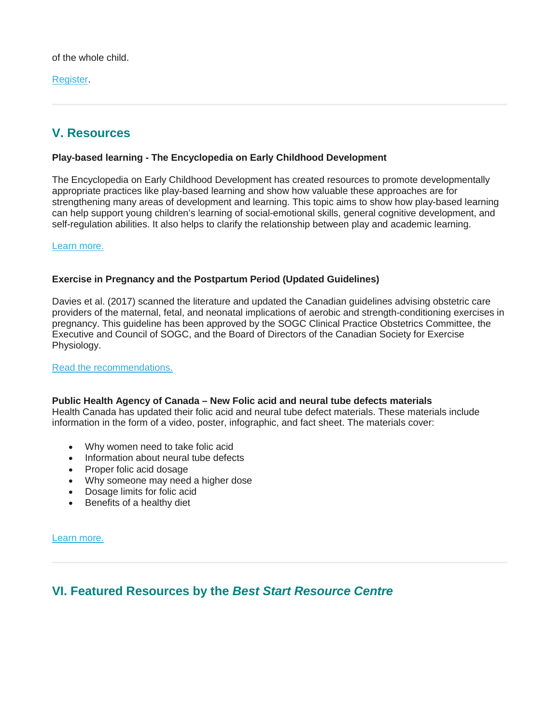of the whole child.

[Register.](http://www.opha.on.ca/Events/Annual-Safe-Schools-Conference-A-Focus-on-Student.aspx)

# **V. Resources**

## **Play-based learning - The Encyclopedia on Early Childhood Development**

The Encyclopedia on Early Childhood Development has created resources to promote developmentally appropriate practices like play-based learning and show how valuable these approaches are for strengthening many areas of development and learning. This topic aims to show how play-based learning can help support young children's learning of social-emotional skills, general cognitive development, and self-regulation abilities. It also helps to clarify the relationship between play and academic learning.

[Learn more.](http://www.child-encyclopedia.com/play-based-learning/introduction)

### **Exercise in Pregnancy and the Postpartum Period (Updated Guidelines)**

Davies et al. (2017) scanned the literature and updated the Canadian guidelines advising obstetric care providers of the maternal, fetal, and neonatal implications of aerobic and strength-conditioning exercises in pregnancy. This guideline has been approved by the SOGC Clinical Practice Obstetrics Committee, the Executive and Council of SOGC, and the Board of Directors of the Canadian Society for Exercise Physiology.

#### [Read the recommendations.](http://www.jogc.com/article/S1701-2163(17)31105-2/pdf)

### **Public Health Agency of Canada – New Folic acid and neural tube defects materials**

Health Canada has updated their folic acid and neural tube defect materials. These materials include information in the form of a video, poster, infographic, and fact sheet. The materials cover:

- Why women need to take folic acid
- Information about neural tube defects
- Proper folic acid dosage
- Why someone may need a higher dose
- Dosage limits for folic acid
- Benefits of a healthy diet

[Learn more.](https://www.canada.ca/en/public-health/services/maternity-newborn-care-guidelines.html)

# **VI. Featured Resources by the** *Best Start Resource Centre*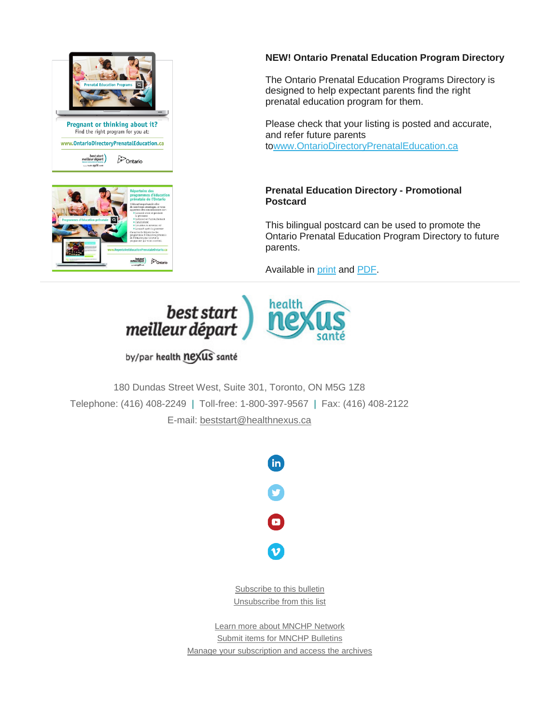



## **NEW! Ontario Prenatal Education Program Directory**

The Ontario Prenatal Education Programs Directory is designed to help expectant parents find the right prenatal education program for them.

Please check that your listing is posted and accurate, and refer future parents t[owww.OntarioDirectoryPrenatalEducation.ca](http://www.ontariodirectoryprenataleducation.ca/)

## **Prenatal Education Directory - Promotional Postcard**

This bilingual postcard can be used to promote the Ontario Prenatal Education Program Directory to future parents.

Available in [print](https://www.beststart.org/cgi-bin/commerce.cgi?preadd=action&key=E44-B) and [PDF.](https://www.beststart.org/resources/rep_health/pdf/E44-B_PrenatalEdDirectory_Postcard.pdf)



# by/par health nexus santé

180 Dundas Street West, Suite 301, Toronto, ON M5G 1Z8 Telephone: (416) 408-2249 | Toll-free: 1-800-397-9567 | Fax: (416) 408-2122 E-mail: [beststart@healthnexus.ca](mailto:beststart@healthnexus.ca?subject=Contact%20Us)



[Subscribe to this bulletin](mailto:mnchp@healthnexus.ca?subject=Subscribe%20to%20MNCHP%20bulletin%20and%20network) [Unsubscribe from this list](mailto:mnchp@healthnexus.ca?subject=Subscribe%20to%20MNCHP%20bulletin%20and%20network)

[Learn more about MNCHP Network](http://lists.beststart.org/listinfo.cgi/mnchp-beststart.org) [Submit items for MNCHP Bulletins](mailto:mnchp@healthnexus.ca) [Manage your subscription and access the archives](http://lists.beststart.org/listinfo.cgi/mnchp-beststart.org)